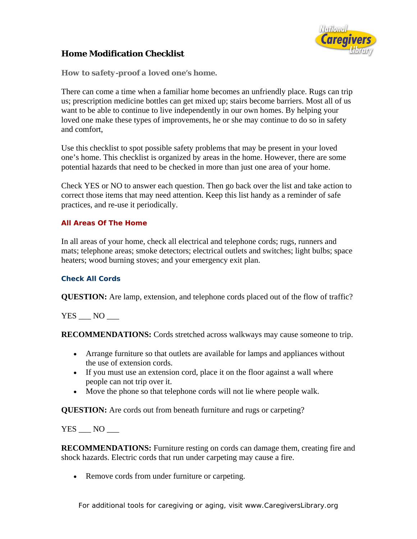

# **Home Modification Checklist**

*How to safety-proof a loved one's home.* 

There can come a time when a familiar home becomes an unfriendly place. Rugs can trip us; prescription medicine bottles can get mixed up; stairs become barriers. Most all of us want to be able to continue to live independently in our own homes. By helping your loved one make these types of improvements, he or she may continue to do so in safety and comfort,

Use this checklist to spot possible safety problems that may be present in your loved one's home. This checklist is organized by areas in the home. However, there are some potential hazards that need to be checked in more than just one area of your home.

Check YES or NO to answer each question. Then go back over the list and take action to correct those items that may need attention. Keep this list handy as a reminder of safe practices, and re-use it periodically.

## **All Areas Of The Home**

In all areas of your home, check all electrical and telephone cords; rugs, runners and mats; telephone areas; smoke detectors; electrical outlets and switches; light bulbs; space heaters; wood burning stoves; and your emergency exit plan.

## **Check All Cords**

**QUESTION:** Are lamp, extension, and telephone cords placed out of the flow of traffic?

YES NO

**RECOMMENDATIONS:** Cords stretched across walkways may cause someone to trip.

- Arrange furniture so that outlets are available for lamps and appliances without the use of extension cords.
- If you must use an extension cord, place it on the floor against a wall where people can not trip over it.
- Move the phone so that telephone cords will not lie where people walk.

**QUESTION:** Are cords out from beneath furniture and rugs or carpeting?

YES NO

**RECOMMENDATIONS:** Furniture resting on cords can damage them, creating fire and shock hazards. Electric cords that run under carpeting may cause a fire.

• Remove cords from under furniture or carpeting.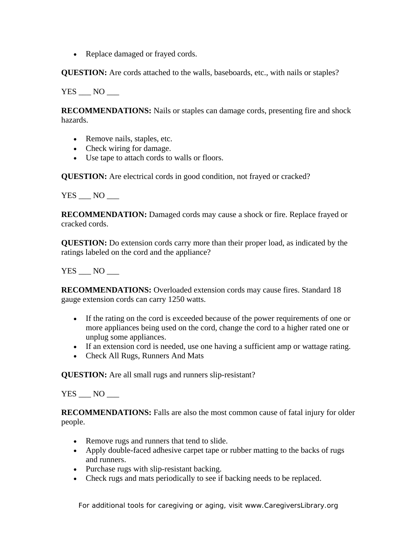• Replace damaged or frayed cords.

**QUESTION:** Are cords attached to the walls, baseboards, etc., with nails or staples?

 $YES$   $NO$   $\_$ 

**RECOMMENDATIONS:** Nails or staples can damage cords, presenting fire and shock hazards.

- Remove nails, staples, etc.
- Check wiring for damage.
- Use tape to attach cords to walls or floors.

**QUESTION:** Are electrical cords in good condition, not frayed or cracked?

YES NO

**RECOMMENDATION:** Damaged cords may cause a shock or fire. Replace frayed or cracked cords.

**QUESTION:** Do extension cords carry more than their proper load, as indicated by the ratings labeled on the cord and the appliance?

YES NO

**RECOMMENDATIONS:** Overloaded extension cords may cause fires. Standard 18 gauge extension cords can carry 1250 watts.

- If the rating on the cord is exceeded because of the power requirements of one or more appliances being used on the cord, change the cord to a higher rated one or unplug some appliances.
- If an extension cord is needed, use one having a sufficient amp or wattage rating.
- Check All Rugs, Runners And Mats

**QUESTION:** Are all small rugs and runners slip-resistant?

 $YES$   $NO$   $\qquad$ 

**RECOMMENDATIONS:** Falls are also the most common cause of fatal injury for older people.

- Remove rugs and runners that tend to slide.
- Apply double-faced adhesive carpet tape or rubber matting to the backs of rugs and runners.
- Purchase rugs with slip-resistant backing.
- Check rugs and mats periodically to see if backing needs to be replaced.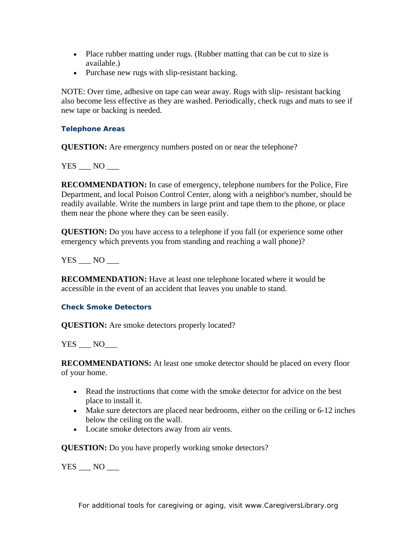- Place rubber matting under rugs. (Rubber matting that can be cut to size is available.)
- Purchase new rugs with slip-resistant backing.

NOTE: Over time, adhesive on tape can wear away. Rugs with slip- resistant backing also become less effective as they are washed. Periodically, check rugs and mats to see if new tape or backing is needed.

## **Telephone Areas**

**QUESTION:** Are emergency numbers posted on or near the telephone?

YES NO

**RECOMMENDATION:** In case of emergency, telephone numbers for the Police, Fire Department, and local Poison Control Center, along with a neighbor's number, should be readily available. Write the numbers in large print and tape them to the phone, or place them near the phone where they can be seen easily.

**QUESTION:** Do you have access to a telephone if you fall (or experience some other emergency which prevents you from standing and reaching a wall phone)?

 $YES$   $NO$   $\_$ 

**RECOMMENDATION:** Have at least one telephone located where it would be accessible in the event of an accident that leaves you unable to stand.

#### **Check Smoke Detectors**

**QUESTION:** Are smoke detectors properly located?

 $YES$   $NO$ 

**RECOMMENDATIONS:** At least one smoke detector should be placed on every floor of your home.

- Read the instructions that come with the smoke detector for advice on the best place to install it.
- Make sure detectors are placed near bedrooms, either on the ceiling or 6-12 inches below the ceiling on the wall.
- Locate smoke detectors away from air vents.

**QUESTION:** Do you have properly working smoke detectors?

 $YES$   $NO$   $\qquad$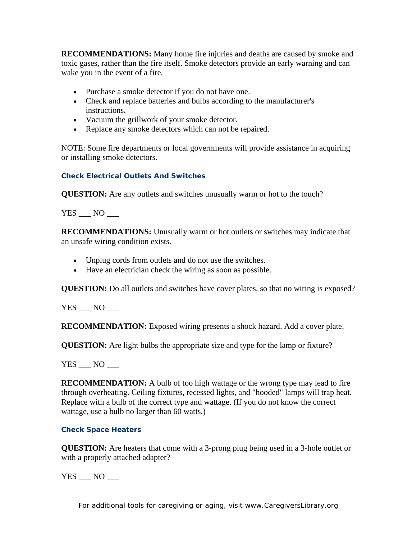**RECOMMENDATIONS:** Many home fire injuries and deaths are caused by smoke and toxic gases, rather than the fire itself. Smoke detectors provide an early warning and can wake you in the event of a fire.

- Purchase a smoke detector if you do not have one.
- Check and replace batteries and bulbs according to the manufacturer's instructions.
- Vacuum the grillwork of your smoke detector.
- Replace any smoke detectors which can not be repaired.

NOTE: Some fire departments or local governments will provide assistance in acquiring or installing smoke detectors.

## **Check Electrical Outlets And Switches**

**QUESTION:** Are any outlets and switches unusually warm or hot to the touch?

 $YES$   $NO$   $\qquad$ 

**RECOMMENDATIONS:** Unusually warm or hot outlets or switches may indicate that an unsafe wiring condition exists.

- Unplug cords from outlets and do not use the switches.
- Have an electrician check the wiring as soon as possible.

**QUESTION:** Do all outlets and switches have cover plates, so that no wiring is exposed?

 $YES$   $NO$   $\qquad$ 

**RECOMMENDATION:** Exposed wiring presents a shock hazard. Add a cover plate.

**QUESTION:** Are light bulbs the appropriate size and type for the lamp or fixture?

YES NO

**RECOMMENDATION:** A bulb of too high wattage or the wrong type may lead to fire through overheating. Ceiling fixtures, recessed lights, and "hooded" lamps will trap heat. Replace with a bulb of the correct type and wattage. (If you do not know the correct wattage, use a bulb no larger than 60 watts.)

## **Check Space Heaters**

**QUESTION:** Are heaters that come with a 3-prong plug being used in a 3-hole outlet or with a properly attached adapter?

 $YES$  NO  $\_\_$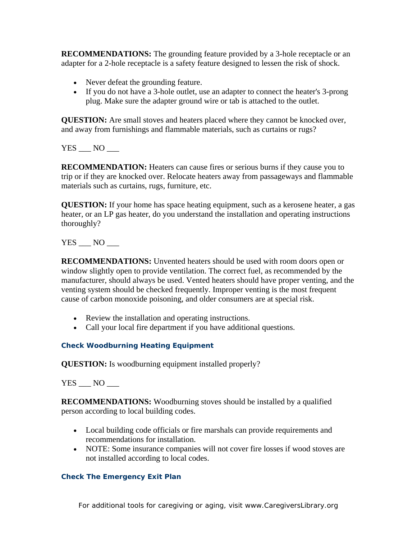**RECOMMENDATIONS:** The grounding feature provided by a 3-hole receptacle or an adapter for a 2-hole receptacle is a safety feature designed to lessen the risk of shock.

- Never defeat the grounding feature.
- If you do not have a 3-hole outlet, use an adapter to connect the heater's 3-prong plug. Make sure the adapter ground wire or tab is attached to the outlet.

**QUESTION:** Are small stoves and heaters placed where they cannot be knocked over, and away from furnishings and flammable materials, such as curtains or rugs?

 $YES$   $NO$   $\qquad$ 

**RECOMMENDATION:** Heaters can cause fires or serious burns if they cause you to trip or if they are knocked over. Relocate heaters away from passageways and flammable materials such as curtains, rugs, furniture, etc.

**QUESTION:** If your home has space heating equipment, such as a kerosene heater, a gas heater, or an LP gas heater, do you understand the installation and operating instructions thoroughly?

YES NO

**RECOMMENDATIONS:** Unvented heaters should be used with room doors open or window slightly open to provide ventilation. The correct fuel, as recommended by the manufacturer, should always be used. Vented heaters should have proper venting, and the venting system should be checked frequently. Improper venting is the most frequent cause of carbon monoxide poisoning, and older consumers are at special risk.

- Review the installation and operating instructions.
- Call your local fire department if you have additional questions.

## **Check Woodburning Heating Equipment**

**QUESTION:** Is woodburning equipment installed properly?

YES NO

**RECOMMENDATIONS:** Woodburning stoves should be installed by a qualified person according to local building codes.

- Local building code officials or fire marshals can provide requirements and recommendations for installation.
- NOTE: Some insurance companies will not cover fire losses if wood stoves are not installed according to local codes.

## **Check The Emergency Exit Plan**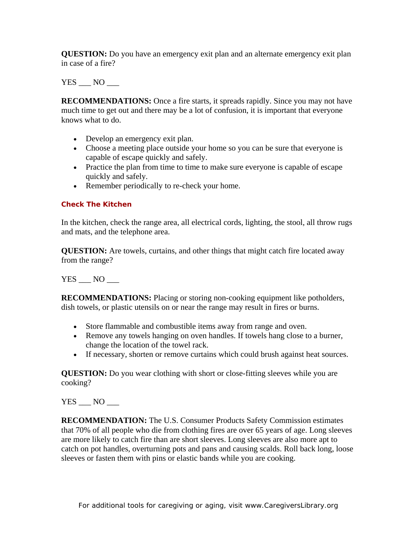**QUESTION:** Do you have an emergency exit plan and an alternate emergency exit plan in case of a fire?

YES NO

**RECOMMENDATIONS:** Once a fire starts, it spreads rapidly. Since you may not have much time to get out and there may be a lot of confusion, it is important that everyone knows what to do.

- Develop an emergency exit plan.
- Choose a meeting place outside your home so you can be sure that everyone is capable of escape quickly and safely.
- Practice the plan from time to time to make sure everyone is capable of escape quickly and safely.
- Remember periodically to re-check your home.

## **Check The Kitchen**

In the kitchen, check the range area, all electrical cords, lighting, the stool, all throw rugs and mats, and the telephone area.

**QUESTION:** Are towels, curtains, and other things that might catch fire located away from the range?

YES NO

**RECOMMENDATIONS:** Placing or storing non-cooking equipment like potholders, dish towels, or plastic utensils on or near the range may result in fires or burns.

- Store flammable and combustible items away from range and oven.
- Remove any towels hanging on oven handles. If towels hang close to a burner, change the location of the towel rack.
- If necessary, shorten or remove curtains which could brush against heat sources.

**QUESTION:** Do you wear clothing with short or close-fitting sleeves while you are cooking?

YES NO

**RECOMMENDATION:** The U.S. Consumer Products Safety Commission estimates that 70% of all people who die from clothing fires are over 65 years of age. Long sleeves are more likely to catch fire than are short sleeves. Long sleeves are also more apt to catch on pot handles, overturning pots and pans and causing scalds. Roll back long, loose sleeves or fasten them with pins or elastic bands while you are cooking.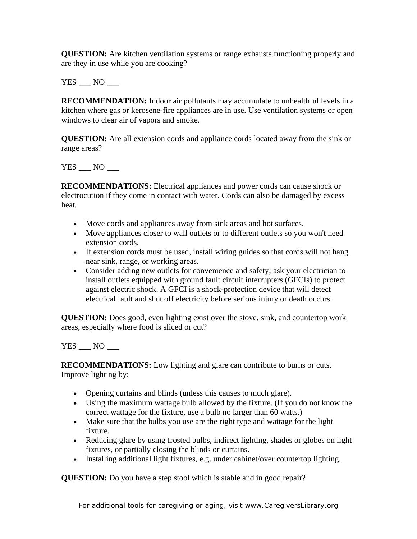**QUESTION:** Are kitchen ventilation systems or range exhausts functioning properly and are they in use while you are cooking?

YES NO

**RECOMMENDATION:** Indoor air pollutants may accumulate to unhealthful levels in a kitchen where gas or kerosene-fire appliances are in use. Use ventilation systems or open windows to clear air of vapors and smoke.

**QUESTION:** Are all extension cords and appliance cords located away from the sink or range areas?

 $YES$   $\_\$  NO  $\_\$ 

**RECOMMENDATIONS:** Electrical appliances and power cords can cause shock or electrocution if they come in contact with water. Cords can also be damaged by excess heat.

- Move cords and appliances away from sink areas and hot surfaces.
- Move appliances closer to wall outlets or to different outlets so you won't need extension cords.
- If extension cords must be used, install wiring guides so that cords will not hang near sink, range, or working areas.
- Consider adding new outlets for convenience and safety; ask your electrician to install outlets equipped with ground fault circuit interrupters (GFCIs) to protect against electric shock. A GFCI is a shock-protection device that will detect electrical fault and shut off electricity before serious injury or death occurs.

**QUESTION:** Does good, even lighting exist over the stove, sink, and countertop work areas, especially where food is sliced or cut?

YES NO

**RECOMMENDATIONS:** Low lighting and glare can contribute to burns or cuts. Improve lighting by:

- Opening curtains and blinds (unless this causes to much glare).
- Using the maximum wattage bulb allowed by the fixture. (If you do not know the correct wattage for the fixture, use a bulb no larger than 60 watts.)
- Make sure that the bulbs you use are the right type and wattage for the light fixture.
- Reducing glare by using frosted bulbs, indirect lighting, shades or globes on light fixtures, or partially closing the blinds or curtains.
- Installing additional light fixtures, e.g. under cabinet/over countertop lighting.

**QUESTION:** Do you have a step stool which is stable and in good repair?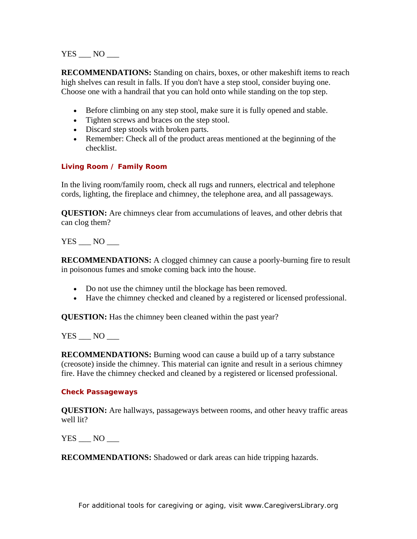$YES$  NO  $\_\_$ 

**RECOMMENDATIONS:** Standing on chairs, boxes, or other makeshift items to reach high shelves can result in falls. If you don't have a step stool, consider buying one. Choose one with a handrail that you can hold onto while standing on the top step.

- Before climbing on any step stool, make sure it is fully opened and stable.
- Tighten screws and braces on the step stool.
- Discard step stools with broken parts.
- Remember: Check all of the product areas mentioned at the beginning of the checklist.

## **Living Room / Family Room**

In the living room/family room, check all rugs and runners, electrical and telephone cords, lighting, the fireplace and chimney, the telephone area, and all passageways.

**QUESTION:** Are chimneys clear from accumulations of leaves, and other debris that can clog them?

YES NO

**RECOMMENDATIONS:** A clogged chimney can cause a poorly-burning fire to result in poisonous fumes and smoke coming back into the house.

- Do not use the chimney until the blockage has been removed.
- Have the chimney checked and cleaned by a registered or licensed professional.

**QUESTION:** Has the chimney been cleaned within the past year?

YES NO

**RECOMMENDATIONS:** Burning wood can cause a build up of a tarry substance (creosote) inside the chimney. This material can ignite and result in a serious chimney fire. Have the chimney checked and cleaned by a registered or licensed professional.

#### **Check Passageways**

**QUESTION:** Are hallways, passageways between rooms, and other heavy traffic areas well lit?

YES NO

**RECOMMENDATIONS:** Shadowed or dark areas can hide tripping hazards.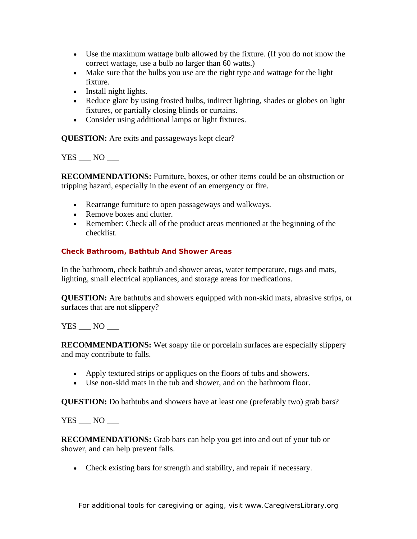- Use the maximum wattage bulb allowed by the fixture. (If you do not know the correct wattage, use a bulb no larger than 60 watts.)
- Make sure that the bulbs you use are the right type and wattage for the light fixture.
- Install night lights.
- Reduce glare by using frosted bulbs, indirect lighting, shades or globes on light fixtures, or partially closing blinds or curtains.
- Consider using additional lamps or light fixtures.

**QUESTION:** Are exits and passageways kept clear?

 $YES$   $NO$   $\qquad$ 

**RECOMMENDATIONS:** Furniture, boxes, or other items could be an obstruction or tripping hazard, especially in the event of an emergency or fire.

- Rearrange furniture to open passageways and walkways.
- Remove boxes and clutter.
- Remember: Check all of the product areas mentioned at the beginning of the checklist.

#### **Check Bathroom, Bathtub And Shower Areas**

In the bathroom, check bathtub and shower areas, water temperature, rugs and mats, lighting, small electrical appliances, and storage areas for medications.

**QUESTION:** Are bathtubs and showers equipped with non-skid mats, abrasive strips, or surfaces that are not slippery?

YES NO

**RECOMMENDATIONS:** Wet soapy tile or porcelain surfaces are especially slippery and may contribute to falls.

- Apply textured strips or appliques on the floors of tubs and showers.
- Use non-skid mats in the tub and shower, and on the bathroom floor.

**QUESTION:** Do bathtubs and showers have at least one (preferably two) grab bars?

YES NO

**RECOMMENDATIONS:** Grab bars can help you get into and out of your tub or shower, and can help prevent falls.

• Check existing bars for strength and stability, and repair if necessary.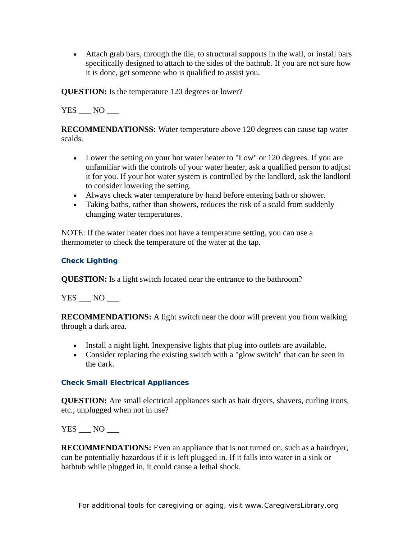• Attach grab bars, through the tile, to structural supports in the wall, or install bars specifically designed to attach to the sides of the bathtub. If you are not sure how it is done, get someone who is qualified to assist you.

**QUESTION:** Is the temperature 120 degrees or lower?

 $YES$  NO  $\_\_$ 

**RECOMMENDATIONSS:** Water temperature above 120 degrees can cause tap water scalds.

- Lower the setting on your hot water heater to "Low" or 120 degrees. If you are unfamiliar with the controls of your water heater, ask a qualified person to adjust it for you. If your hot water system is controlled by the landlord, ask the landlord to consider lowering the setting.
- Always check water temperature by hand before entering bath or shower.
- Taking baths, rather than showers, reduces the risk of a scald from suddenly changing water temperatures.

NOTE: If the water heater does not have a temperature setting, you can use a thermometer to check the temperature of the water at the tap.

## **Check Lighting**

**QUESTION:** Is a light switch located near the entrance to the bathroom?

YES NO

**RECOMMENDATIONS:** A light switch near the door will prevent you from walking through a dark area.

- Install a night light. Inexpensive lights that plug into outlets are available.
- Consider replacing the existing switch with a "glow switch" that can be seen in the dark.

## **Check Small Electrical Appliances**

**QUESTION:** Are small electrical appliances such as hair dryers, shavers, curling irons, etc., unplugged when not in use?

YES NO

**RECOMMENDATIONS:** Even an appliance that is not turned on, such as a hairdryer, can be potentially hazardous if it is left plugged in. If it falls into water in a sink or bathtub while plugged in, it could cause a lethal shock.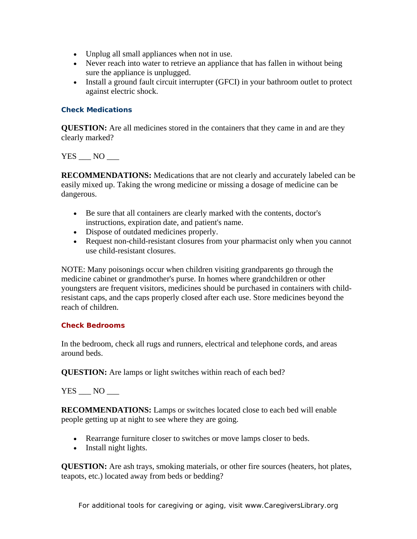- Unplug all small appliances when not in use.
- Never reach into water to retrieve an appliance that has fallen in without being sure the appliance is unplugged.
- Install a ground fault circuit interrupter (GFCI) in your bathroom outlet to protect against electric shock.

## **Check Medications**

**QUESTION:** Are all medicines stored in the containers that they came in and are they clearly marked?

 $YES$   $NO$   $\_$ 

**RECOMMENDATIONS:** Medications that are not clearly and accurately labeled can be easily mixed up. Taking the wrong medicine or missing a dosage of medicine can be dangerous.

- Be sure that all containers are clearly marked with the contents, doctor's instructions, expiration date, and patient's name.
- Dispose of outdated medicines properly.
- Request non-child-resistant closures from your pharmacist only when you cannot use child-resistant closures.

NOTE: Many poisonings occur when children visiting grandparents go through the medicine cabinet or grandmother's purse. In homes where grandchildren or other youngsters are frequent visitors, medicines should be purchased in containers with childresistant caps, and the caps properly closed after each use. Store medicines beyond the reach of children.

## **Check Bedrooms**

In the bedroom, check all rugs and runners, electrical and telephone cords, and areas around beds.

**QUESTION:** Are lamps or light switches within reach of each bed?

YES NO

**RECOMMENDATIONS:** Lamps or switches located close to each bed will enable people getting up at night to see where they are going.

- Rearrange furniture closer to switches or move lamps closer to beds.
- Install night lights.

**QUESTION:** Are ash trays, smoking materials, or other fire sources (heaters, hot plates, teapots, etc.) located away from beds or bedding?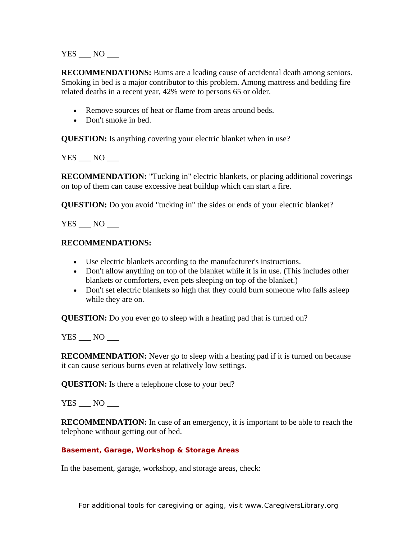$YES$  NO  $\_\_$ 

**RECOMMENDATIONS:** Burns are a leading cause of accidental death among seniors. Smoking in bed is a major contributor to this problem. Among mattress and bedding fire related deaths in a recent year, 42% were to persons 65 or older.

- Remove sources of heat or flame from areas around beds.
- Don't smoke in bed.

**QUESTION:** Is anything covering your electric blanket when in use?

YES NO

**RECOMMENDATION:** "Tucking in" electric blankets, or placing additional coverings on top of them can cause excessive heat buildup which can start a fire.

**QUESTION:** Do you avoid "tucking in" the sides or ends of your electric blanket?

YES NO

#### **RECOMMENDATIONS:**

- Use electric blankets according to the manufacturer's instructions.
- Don't allow anything on top of the blanket while it is in use. (This includes other blankets or comforters, even pets sleeping on top of the blanket.)
- Don't set electric blankets so high that they could burn someone who falls asleep while they are on.

**QUESTION:** Do you ever go to sleep with a heating pad that is turned on?

 $YES$   $NO$   $\qquad$ 

**RECOMMENDATION:** Never go to sleep with a heating pad if it is turned on because it can cause serious burns even at relatively low settings.

**QUESTION:** Is there a telephone close to your bed?

 $YES$   $NO$   $\qquad$ 

**RECOMMENDATION:** In case of an emergency, it is important to be able to reach the telephone without getting out of bed.

#### **Basement, Garage, Workshop & Storage Areas**

In the basement, garage, workshop, and storage areas, check: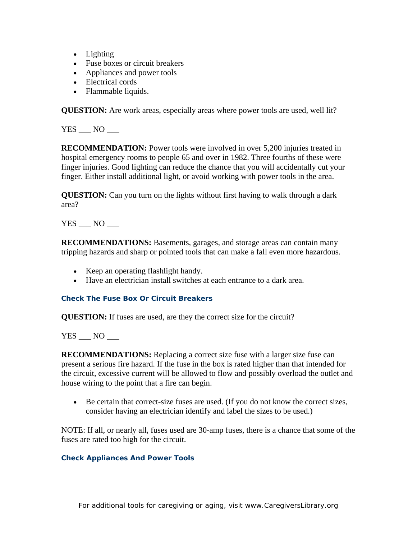- Lighting
- Fuse boxes or circuit breakers
- Appliances and power tools
- Electrical cords
- Flammable liquids.

**QUESTION:** Are work areas, especially areas where power tools are used, well lit?

YES NO

**RECOMMENDATION:** Power tools were involved in over 5,200 injuries treated in hospital emergency rooms to people 65 and over in 1982. Three fourths of these were finger injuries. Good lighting can reduce the chance that you will accidentally cut your finger. Either install additional light, or avoid working with power tools in the area.

**QUESTION:** Can you turn on the lights without first having to walk through a dark area?

 $YES$  NO  $\_\_$ 

**RECOMMENDATIONS:** Basements, garages, and storage areas can contain many tripping hazards and sharp or pointed tools that can make a fall even more hazardous.

- Keep an operating flashlight handy.
- Have an electrician install switches at each entrance to a dark area.

#### **Check The Fuse Box Or Circuit Breakers**

**QUESTION:** If fuses are used, are they the correct size for the circuit?

 $YES$   $NO$   $\qquad$ 

**RECOMMENDATIONS:** Replacing a correct size fuse with a larger size fuse can present a serious fire hazard. If the fuse in the box is rated higher than that intended for the circuit, excessive current will be allowed to flow and possibly overload the outlet and house wiring to the point that a fire can begin.

• Be certain that correct-size fuses are used. (If you do not know the correct sizes, consider having an electrician identify and label the sizes to be used.)

NOTE: If all, or nearly all, fuses used are 30-amp fuses, there is a chance that some of the fuses are rated too high for the circuit.

#### **Check Appliances And Power Tools**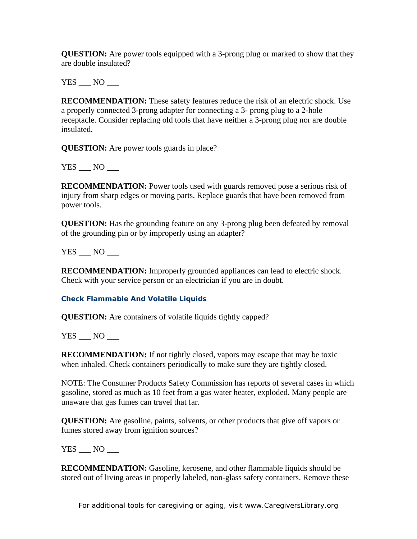**QUESTION:** Are power tools equipped with a 3-prong plug or marked to show that they are double insulated?

YES NO

**RECOMMENDATION:** These safety features reduce the risk of an electric shock. Use a properly connected 3-prong adapter for connecting a 3- prong plug to a 2-hole receptacle. Consider replacing old tools that have neither a 3-prong plug nor are double insulated.

**QUESTION:** Are power tools guards in place?

 $YES$   $\_\$  NO  $\_\$ 

**RECOMMENDATION:** Power tools used with guards removed pose a serious risk of injury from sharp edges or moving parts. Replace guards that have been removed from power tools.

**QUESTION:** Has the grounding feature on any 3-prong plug been defeated by removal of the grounding pin or by improperly using an adapter?

YES NO

**RECOMMENDATION:** Improperly grounded appliances can lead to electric shock. Check with your service person or an electrician if you are in doubt.

## **Check Flammable And Volatile Liquids**

**QUESTION:** Are containers of volatile liquids tightly capped?

YES NO

**RECOMMENDATION:** If not tightly closed, vapors may escape that may be toxic when inhaled. Check containers periodically to make sure they are tightly closed.

NOTE: The Consumer Products Safety Commission has reports of several cases in which gasoline, stored as much as 10 feet from a gas water heater, exploded. Many people are unaware that gas fumes can travel that far.

**QUESTION:** Are gasoline, paints, solvents, or other products that give off vapors or fumes stored away from ignition sources?

YES NO

**RECOMMENDATION:** Gasoline, kerosene, and other flammable liquids should be stored out of living areas in properly labeled, non-glass safety containers. Remove these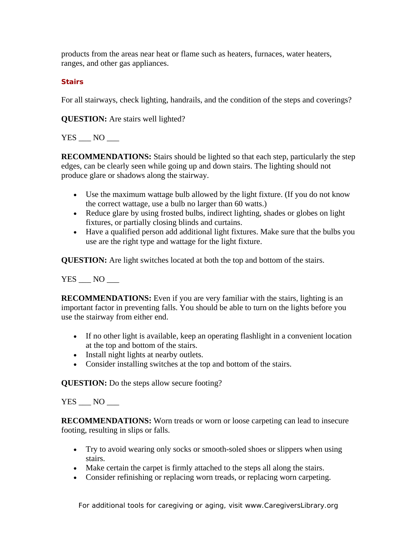products from the areas near heat or flame such as heaters, furnaces, water heaters, ranges, and other gas appliances.

## **Stairs**

For all stairways, check lighting, handrails, and the condition of the steps and coverings?

**QUESTION:** Are stairs well lighted?

YES NO

**RECOMMENDATIONS:** Stairs should be lighted so that each step, particularly the step edges, can be clearly seen while going up and down stairs. The lighting should not produce glare or shadows along the stairway.

- Use the maximum wattage bulb allowed by the light fixture. (If you do not know the correct wattage, use a bulb no larger than 60 watts.)
- Reduce glare by using frosted bulbs, indirect lighting, shades or globes on light fixtures, or partially closing blinds and curtains.
- Have a qualified person add additional light fixtures. Make sure that the bulbs you use are the right type and wattage for the light fixture.

**QUESTION:** Are light switches located at both the top and bottom of the stairs.

YES NO

**RECOMMENDATIONS:** Even if you are very familiar with the stairs, lighting is an important factor in preventing falls. You should be able to turn on the lights before you use the stairway from either end.

- If no other light is available, keep an operating flashlight in a convenient location at the top and bottom of the stairs.
- Install night lights at nearby outlets.
- Consider installing switches at the top and bottom of the stairs.

**QUESTION:** Do the steps allow secure footing?

YES NO

**RECOMMENDATIONS:** Worn treads or worn or loose carpeting can lead to insecure footing, resulting in slips or falls.

- Try to avoid wearing only socks or smooth-soled shoes or slippers when using stairs.
- Make certain the carpet is firmly attached to the steps all along the stairs.
- Consider refinishing or replacing worn treads, or replacing worn carpeting.